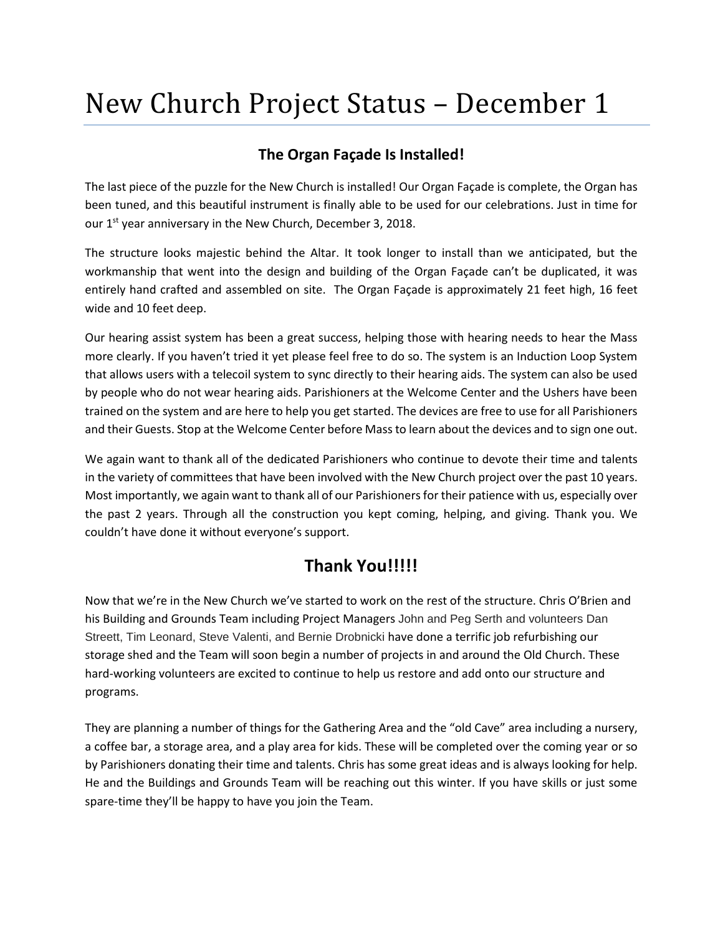## New Church Project Status – December 1

## **The Organ Façade Is Installed!**

The last piece of the puzzle for the New Church is installed! Our Organ Façade is complete, the Organ has been tuned, and this beautiful instrument is finally able to be used for our celebrations. Just in time for our 1<sup>st</sup> year anniversary in the New Church, December 3, 2018.

The structure looks majestic behind the Altar. It took longer to install than we anticipated, but the workmanship that went into the design and building of the Organ Façade can't be duplicated, it was entirely hand crafted and assembled on site. The Organ Façade is approximately 21 feet high, 16 feet wide and 10 feet deep.

Our hearing assist system has been a great success, helping those with hearing needs to hear the Mass more clearly. If you haven't tried it yet please feel free to do so. The system is an Induction Loop System that allows users with a telecoil system to sync directly to their hearing aids. The system can also be used by people who do not wear hearing aids. Parishioners at the Welcome Center and the Ushers have been trained on the system and are here to help you get started. The devices are free to use for all Parishioners and their Guests. Stop at the Welcome Center before Mass to learn about the devices and to sign one out.

We again want to thank all of the dedicated Parishioners who continue to devote their time and talents in the variety of committees that have been involved with the New Church project over the past 10 years. Most importantly, we again want to thank all of our Parishioners for their patience with us, especially over the past 2 years. Through all the construction you kept coming, helping, and giving. Thank you. We couldn't have done it without everyone's support.

## **Thank You!!!!!**

Now that we're in the New Church we've started to work on the rest of the structure. Chris O'Brien and his Building and Grounds Team including Project Managers John and Peg Serth and volunteers Dan Streett, Tim Leonard, Steve Valenti, and Bernie Drobnicki have done a terrific job refurbishing our storage shed and the Team will soon begin a number of projects in and around the Old Church. These hard-working volunteers are excited to continue to help us restore and add onto our structure and programs.

They are planning a number of things for the Gathering Area and the "old Cave" area including a nursery, a coffee bar, a storage area, and a play area for kids. These will be completed over the coming year or so by Parishioners donating their time and talents. Chris has some great ideas and is always looking for help. He and the Buildings and Grounds Team will be reaching out this winter. If you have skills or just some spare-time they'll be happy to have you join the Team.